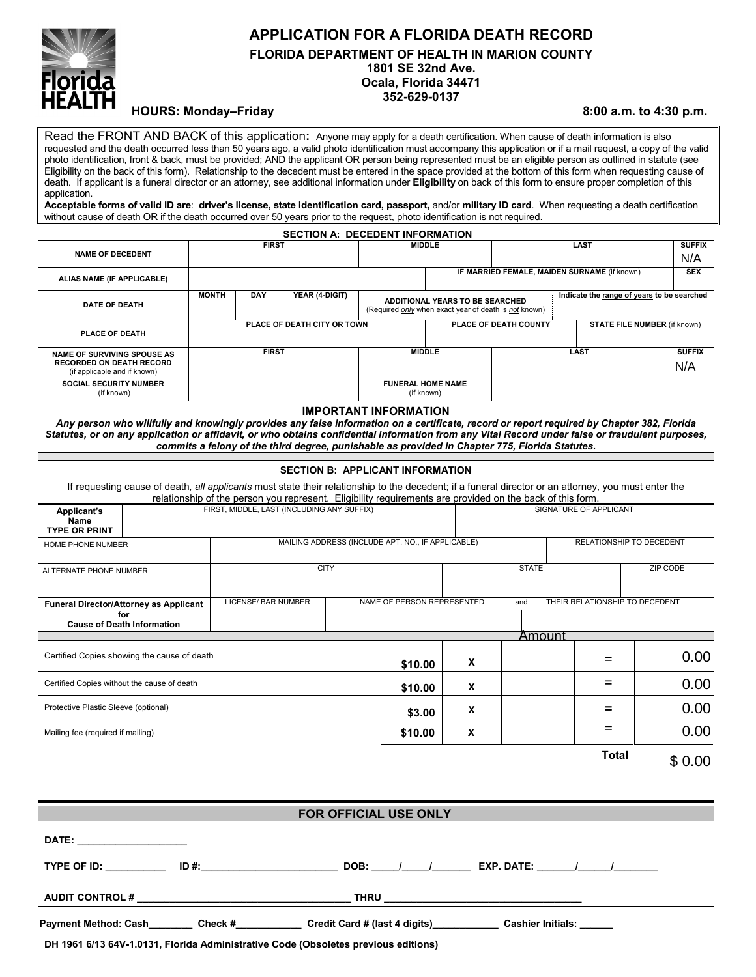

# **APPLICATION FOR A FLORIDA DEATH RECORD FLORIDA DEPARTMENT OF HEALTH IN MARION COUNTY 1801 SE 32nd Ave. Ocala, Florida 34471 352-629-0137**

# HOURS: Monday–Friday **8:00 a.m.** to 4:30 p.m.

Read the FRONT AND BACK of this application**:** Anyone may apply for a death certification. When cause of death information is also requested and the death occurred less than 50 years ago, a valid photo identification must accompany this application or if a mail request, a copy of the valid photo identification, front & back, must be provided; AND the applicant OR person being represented must be an eligible person as outlined in statute (see Eligibility on the back of this form). Relationship to the decedent must be entered in the space provided at the bottom of this form when requesting cause of death. If applicant is a funeral director or an attorney, see additional information under **Eligibility** on back of this form to ensure proper completion of this application.

**Acceptable forms of valid ID are**: **driver's license, state identification card, passport,** and/or **military ID card**. When requesting a death certification without cause of death OR if the death occurred over 50 years prior to the request, photo identification is not required.

|                                                                                                                                                                                                                                                                                                                                                                                                                                |                                                                                                                                                                                                                                                                   |                                       |                                                   |  |                                                                                                               | <b>SECTION A: DECEDENT INFORMATION</b> |                                              |                                            |             |          |                                     |                      |        |  |
|--------------------------------------------------------------------------------------------------------------------------------------------------------------------------------------------------------------------------------------------------------------------------------------------------------------------------------------------------------------------------------------------------------------------------------|-------------------------------------------------------------------------------------------------------------------------------------------------------------------------------------------------------------------------------------------------------------------|---------------------------------------|---------------------------------------------------|--|---------------------------------------------------------------------------------------------------------------|----------------------------------------|----------------------------------------------|--------------------------------------------|-------------|----------|-------------------------------------|----------------------|--------|--|
| <b>NAME OF DECEDENT</b>                                                                                                                                                                                                                                                                                                                                                                                                        | <b>FIRST</b>                                                                                                                                                                                                                                                      |                                       |                                                   |  |                                                                                                               | <b>MIDDLE</b>                          |                                              |                                            | <b>LAST</b> |          |                                     | <b>SUFFIX</b><br>N/A |        |  |
| ALIAS NAME (IF APPLICABLE)                                                                                                                                                                                                                                                                                                                                                                                                     |                                                                                                                                                                                                                                                                   |                                       |                                                   |  |                                                                                                               |                                        | IF MARRIED FEMALE, MAIDEN SURNAME (if known) |                                            |             |          |                                     | <b>SEX</b>           |        |  |
| <b>DATE OF DEATH</b>                                                                                                                                                                                                                                                                                                                                                                                                           |                                                                                                                                                                                                                                                                   | YEAR (4-DIGIT)<br><b>MONTH</b><br>DAY |                                                   |  | <b>ADDITIONAL YEARS TO BE SEARCHED</b><br>(Required <i>only</i> when exact year of death is <i>not</i> known) |                                        |                                              | Indicate the range of years to be searched |             |          |                                     |                      |        |  |
| PLACE OF DEATH                                                                                                                                                                                                                                                                                                                                                                                                                 | PLACE OF DEATH CITY OR TOWN                                                                                                                                                                                                                                       |                                       |                                                   |  |                                                                                                               |                                        | PLACE OF DEATH COUNTY                        |                                            |             |          | <b>STATE FILE NUMBER (if known)</b> |                      |        |  |
| <b>NAME OF SURVIVING SPOUSE AS</b><br><b>RECORDED ON DEATH RECORD</b>                                                                                                                                                                                                                                                                                                                                                          |                                                                                                                                                                                                                                                                   | <b>FIRST</b>                          |                                                   |  | <b>MIDDLE</b>                                                                                                 |                                        |                                              | LAST                                       |             |          |                                     | <b>SUFFIX</b><br>N/A |        |  |
| (if applicable and if known)<br>SOCIAL SECURITY NUMBER<br>(if known)                                                                                                                                                                                                                                                                                                                                                           |                                                                                                                                                                                                                                                                   |                                       |                                                   |  | <b>FUNERAL HOME NAME</b><br>(if known)                                                                        |                                        |                                              |                                            |             |          |                                     |                      |        |  |
| <b>IMPORTANT INFORMATION</b><br>Any person who willfully and knowingly provides any false information on a certificate, record or report required by Chapter 382, Florida<br>Statutes, or on any application or affidavit, or who obtains confidential information from any Vital Record under false or fraudulent purposes,<br>commits a felony of the third degree, punishable as provided in Chapter 775, Florida Statutes. |                                                                                                                                                                                                                                                                   |                                       |                                                   |  |                                                                                                               |                                        |                                              |                                            |             |          |                                     |                      |        |  |
| <b>SECTION B: APPLICANT INFORMATION</b>                                                                                                                                                                                                                                                                                                                                                                                        |                                                                                                                                                                                                                                                                   |                                       |                                                   |  |                                                                                                               |                                        |                                              |                                            |             |          |                                     |                      |        |  |
|                                                                                                                                                                                                                                                                                                                                                                                                                                | If requesting cause of death, all applicants must state their relationship to the decedent; if a funeral director or an attorney, you must enter the<br>relationship of the person you represent. Eligibility requirements are provided on the back of this form. |                                       |                                                   |  |                                                                                                               |                                        |                                              |                                            |             |          |                                     |                      |        |  |
| Applicant's<br><b>Name</b><br><b>TYPE OR PRINT</b>                                                                                                                                                                                                                                                                                                                                                                             | FIRST. MIDDLE. LAST (INCLUDING ANY SUFFIX)                                                                                                                                                                                                                        |                                       |                                                   |  |                                                                                                               |                                        |                                              | SIGNATURE OF APPLICANT                     |             |          |                                     |                      |        |  |
| MAILING ADDRESS (INCLUDE APT. NO., IF APPLICABLE)<br>HOME PHONE NUMBER                                                                                                                                                                                                                                                                                                                                                         |                                                                                                                                                                                                                                                                   |                                       |                                                   |  |                                                                                                               |                                        | RELATIONSHIP TO DECEDENT                     |                                            |             |          |                                     |                      |        |  |
| <b>ALTERNATE PHONE NUMBER</b>                                                                                                                                                                                                                                                                                                                                                                                                  |                                                                                                                                                                                                                                                                   | <b>CITY</b>                           |                                                   |  |                                                                                                               |                                        | <b>STATE</b>                                 |                                            |             | ZIP CODE |                                     |                      |        |  |
| <b>Funeral Director/Attorney as Applicant</b><br>for                                                                                                                                                                                                                                                                                                                                                                           |                                                                                                                                                                                                                                                                   |                                       | LICENSE/ BAR NUMBER<br>NAME OF PERSON REPRESENTED |  |                                                                                                               |                                        |                                              |                                            | and         |          | THEIR RELATIONSHIP TO DECEDENT      |                      |        |  |
| <b>Cause of Death Information</b>                                                                                                                                                                                                                                                                                                                                                                                              |                                                                                                                                                                                                                                                                   |                                       |                                                   |  |                                                                                                               |                                        |                                              |                                            | Amount      |          |                                     |                      |        |  |
| Certified Copies showing the cause of death                                                                                                                                                                                                                                                                                                                                                                                    |                                                                                                                                                                                                                                                                   |                                       |                                                   |  |                                                                                                               | \$10.00                                |                                              | X                                          |             |          | $=$                                 |                      | 0.00   |  |
| Certified Copies without the cause of death                                                                                                                                                                                                                                                                                                                                                                                    |                                                                                                                                                                                                                                                                   |                                       |                                                   |  |                                                                                                               | \$10.00                                |                                              | X                                          |             |          | $=$                                 |                      | 0.00   |  |
| Protective Plastic Sleeve (optional)                                                                                                                                                                                                                                                                                                                                                                                           |                                                                                                                                                                                                                                                                   |                                       |                                                   |  |                                                                                                               | \$3.00                                 |                                              | X                                          |             |          | =                                   |                      | 0.00   |  |
| Mailing fee (required if mailing)                                                                                                                                                                                                                                                                                                                                                                                              |                                                                                                                                                                                                                                                                   |                                       |                                                   |  |                                                                                                               | \$10.00                                |                                              | χ                                          |             |          | $=$                                 |                      | 0.00   |  |
|                                                                                                                                                                                                                                                                                                                                                                                                                                |                                                                                                                                                                                                                                                                   |                                       |                                                   |  |                                                                                                               |                                        |                                              |                                            |             |          | Total                               |                      | \$0.00 |  |
|                                                                                                                                                                                                                                                                                                                                                                                                                                |                                                                                                                                                                                                                                                                   |                                       |                                                   |  |                                                                                                               |                                        |                                              |                                            |             |          |                                     |                      |        |  |
| FOR OFFICIAL USE ONLY                                                                                                                                                                                                                                                                                                                                                                                                          |                                                                                                                                                                                                                                                                   |                                       |                                                   |  |                                                                                                               |                                        |                                              |                                            |             |          |                                     |                      |        |  |
|                                                                                                                                                                                                                                                                                                                                                                                                                                |                                                                                                                                                                                                                                                                   |                                       |                                                   |  |                                                                                                               |                                        |                                              |                                            |             |          |                                     |                      |        |  |
|                                                                                                                                                                                                                                                                                                                                                                                                                                |                                                                                                                                                                                                                                                                   |                                       |                                                   |  |                                                                                                               |                                        |                                              |                                            |             |          |                                     |                      |        |  |
|                                                                                                                                                                                                                                                                                                                                                                                                                                |                                                                                                                                                                                                                                                                   |                                       |                                                   |  |                                                                                                               |                                        |                                              |                                            |             |          |                                     |                      |        |  |
| Payment Method: Cash________ Check #__________ Credit Card # (last 4 digits)__________ Cashier Initials: _____                                                                                                                                                                                                                                                                                                                 |                                                                                                                                                                                                                                                                   |                                       |                                                   |  |                                                                                                               |                                        |                                              |                                            |             |          |                                     |                      |        |  |

**DH 1961 6/13 64V-1.0131, Florida Administrative Code (Obsoletes previous editions)**